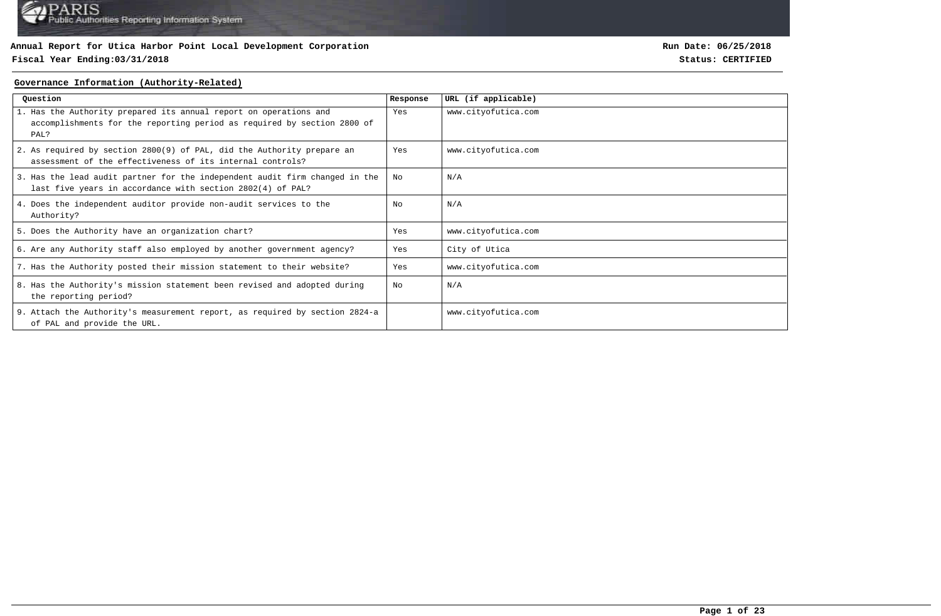### **Fiscal Year Ending:03/31/2018 Status: CERTIFIED**

**Run Date: 06/25/2018**

#### **Governance Information (Authority-Related)**

| Question                                                                                                                                             | Response | URL (if applicable) |
|------------------------------------------------------------------------------------------------------------------------------------------------------|----------|---------------------|
| 1. Has the Authority prepared its annual report on operations and<br>accomplishments for the reporting period as required by section 2800 of<br>PAL? | Yes      | www.cityofutica.com |
| 2. As required by section 2800(9) of PAL, did the Authority prepare an<br>assessment of the effectiveness of its internal controls?                  | Yes      | www.cityofutica.com |
| 3. Has the lead audit partner for the independent audit firm changed in the<br>last five years in accordance with section 2802(4) of PAL?            | No       | N/A                 |
| 4. Does the independent auditor provide non-audit services to the<br>Authority?                                                                      | No       | N/A                 |
| 5. Does the Authority have an organization chart?                                                                                                    | Yes      | www.cityofutica.com |
| 6. Are any Authority staff also employed by another government agency?                                                                               | Yes      | City of Utica       |
| 7. Has the Authority posted their mission statement to their website?                                                                                | Yes      | www.cityofutica.com |
| 8. Has the Authority's mission statement been revised and adopted during<br>the reporting period?                                                    | No       | N/A                 |
| 9. Attach the Authority's measurement report, as required by section 2824-a<br>of PAL and provide the URL.                                           |          | www.cityofutica.com |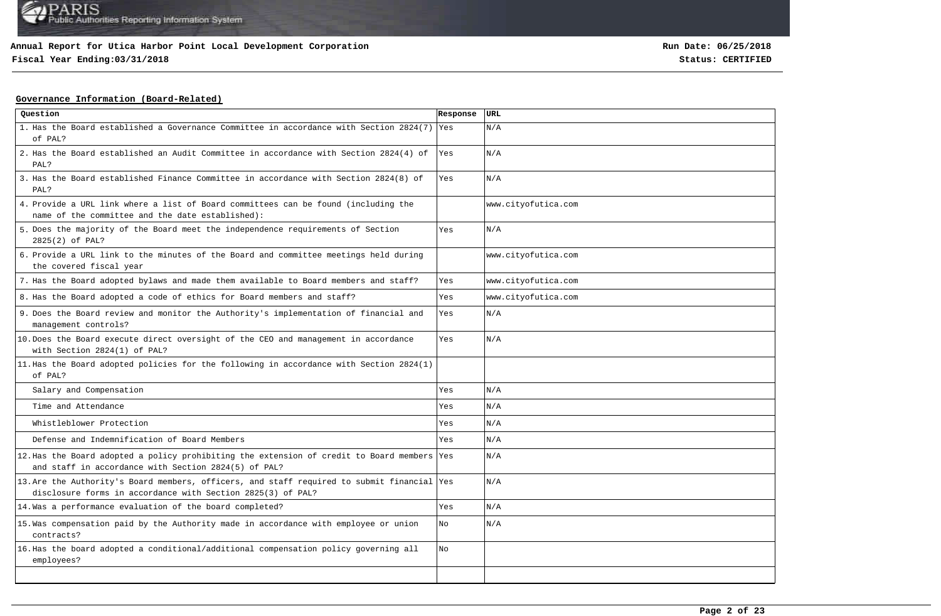# **Fiscal Year Ending:03/31/2018 Status: CERTIFIED**

**Run Date: 06/25/2018**

### **Governance Information (Board-Related)**

| Question                                                                                                                                                   | Response | URL                 |
|------------------------------------------------------------------------------------------------------------------------------------------------------------|----------|---------------------|
| 1. Has the Board established a Governance Committee in accordance with Section 2824(7) Yes<br>of PAL?                                                      |          | N/A                 |
| 2. Has the Board established an Audit Committee in accordance with Section 2824(4) of<br>PAL?                                                              | Yes      | N/A                 |
| 3. Has the Board established Finance Committee in accordance with Section 2824(8) of<br>PAL?                                                               | Yes      | N/A                 |
| 4. Provide a URL link where a list of Board committees can be found (including the<br>name of the committee and the date established):                     |          | www.cityofutica.com |
| 5. Does the majority of the Board meet the independence requirements of Section<br>2825(2) of PAL?                                                         | Yes      | N/A                 |
| 6. Provide a URL link to the minutes of the Board and committee meetings held during<br>the covered fiscal year                                            |          | www.cityofutica.com |
| 7. Has the Board adopted bylaws and made them available to Board members and staff?                                                                        | Yes      | www.cityofutica.com |
| 8. Has the Board adopted a code of ethics for Board members and staff?                                                                                     | Yes      | www.cityofutica.com |
| 9. Does the Board review and monitor the Authority's implementation of financial and<br>management controls?                                               | Yes      | N/A                 |
| 10. Does the Board execute direct oversight of the CEO and management in accordance<br>with Section 2824(1) of PAL?                                        | Yes      | N/A                 |
| 11. Has the Board adopted policies for the following in accordance with Section 2824(1)<br>of PAL?                                                         |          |                     |
| Salary and Compensation                                                                                                                                    | Yes      | N/A                 |
| Time and Attendance                                                                                                                                        | Yes      | N/A                 |
| Whistleblower Protection                                                                                                                                   | Yes      | N/A                 |
| Defense and Indemnification of Board Members                                                                                                               | Yes      | N/A                 |
| 12. Has the Board adopted a policy prohibiting the extension of credit to Board members Yes<br>and staff in accordance with Section 2824(5) of PAL?        |          | N/A                 |
| 13. Are the Authority's Board members, officers, and staff required to submit financial Yes<br>disclosure forms in accordance with Section 2825(3) of PAL? |          | N/A                 |
| 14. Was a performance evaluation of the board completed?                                                                                                   | Yes      | N/A                 |
| 15. Was compensation paid by the Authority made in accordance with employee or union<br>contracts?                                                         | No       | N/A                 |
| 16. Has the board adopted a conditional/additional compensation policy governing all<br>employees?                                                         | No       |                     |
|                                                                                                                                                            |          |                     |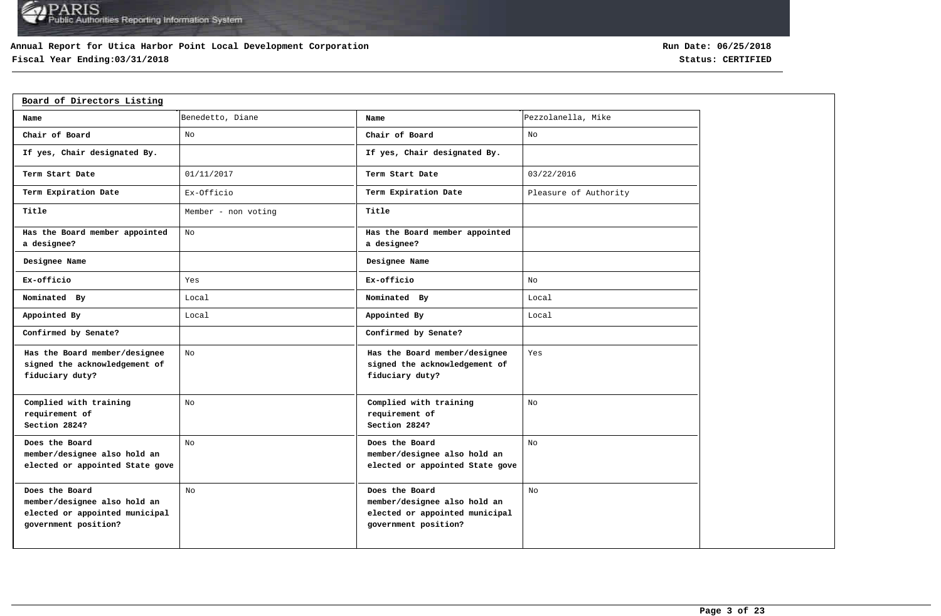### **Annual Report for Utica Harbor Point Local Development Corporation**

# **Fiscal Year Ending:03/31/2018 Status: CERTIFIED**

| Board of Directors Listing                                                                               |                     |                                                                                                          |                       |
|----------------------------------------------------------------------------------------------------------|---------------------|----------------------------------------------------------------------------------------------------------|-----------------------|
| Name                                                                                                     | Benedetto, Diane    | Name                                                                                                     | Pezzolanella, Mike    |
| Chair of Board                                                                                           | No                  | Chair of Board                                                                                           | No                    |
| If yes, Chair designated By.                                                                             |                     | If yes, Chair designated By.                                                                             |                       |
| Term Start Date                                                                                          | 01/11/2017          | Term Start Date                                                                                          | 03/22/2016            |
| Term Expiration Date                                                                                     | Ex-Officio          | Term Expiration Date                                                                                     | Pleasure of Authority |
| Title                                                                                                    | Member - non voting | Title                                                                                                    |                       |
| Has the Board member appointed<br>a designee?                                                            | No                  | Has the Board member appointed<br>a designee?                                                            |                       |
| Designee Name                                                                                            |                     | Designee Name                                                                                            |                       |
| Ex-officio                                                                                               | Yes                 | Ex-officio                                                                                               | No                    |
| Nominated By                                                                                             | Local               | Nominated By                                                                                             | Local                 |
| Appointed By                                                                                             | Local               | Appointed By                                                                                             | Local                 |
| Confirmed by Senate?                                                                                     |                     | Confirmed by Senate?                                                                                     |                       |
| Has the Board member/designee<br>signed the acknowledgement of<br>fiduciary duty?                        | No                  | Has the Board member/designee<br>signed the acknowledgement of<br>fiduciary duty?                        | Yes                   |
| Complied with training<br>requirement of<br>Section 2824?                                                | No                  | Complied with training<br>requirement of<br>Section 2824?                                                | No                    |
| Does the Board<br>member/designee also hold an<br>elected or appointed State gove                        | No                  | Does the Board<br>member/designee also hold an<br>elected or appointed State gove                        | No                    |
| Does the Board<br>member/designee also hold an<br>elected or appointed municipal<br>government position? | No                  | Does the Board<br>member/designee also hold an<br>elected or appointed municipal<br>government position? | No                    |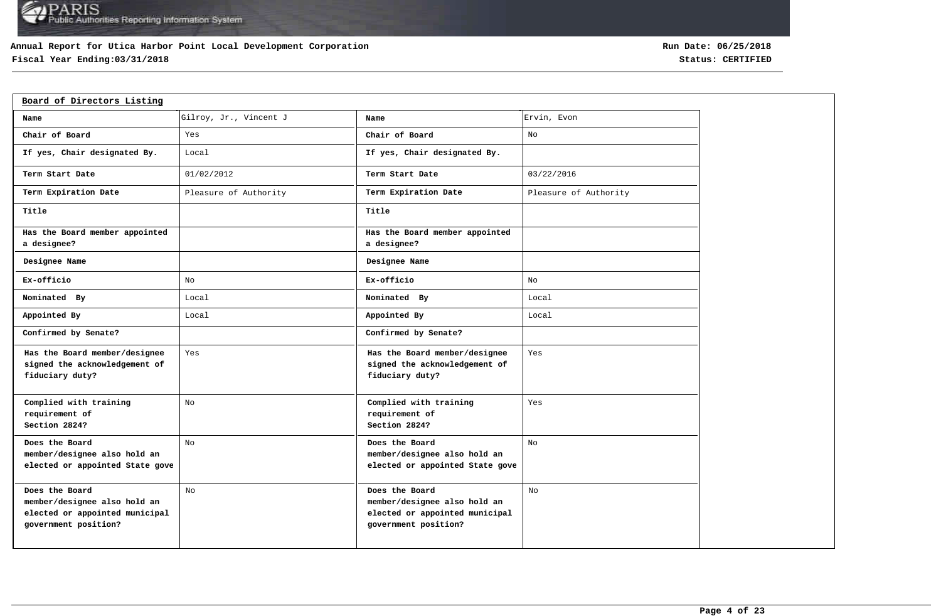### **Annual Report for Utica Harbor Point Local Development Corporation**

# **Fiscal Year Ending:03/31/2018 Status: CERTIFIED**

| Board of Directors Listing                                                                               |                        |                                                                                                          |                       |
|----------------------------------------------------------------------------------------------------------|------------------------|----------------------------------------------------------------------------------------------------------|-----------------------|
| Name                                                                                                     | Gilroy, Jr., Vincent J | Name                                                                                                     | Ervin, Evon           |
| Chair of Board                                                                                           | Yes                    | Chair of Board                                                                                           | No                    |
| If yes, Chair designated By.                                                                             | Local                  | If yes, Chair designated By.                                                                             |                       |
| Term Start Date                                                                                          | 01/02/2012             | Term Start Date                                                                                          | 03/22/2016            |
| Term Expiration Date                                                                                     | Pleasure of Authority  | Term Expiration Date                                                                                     | Pleasure of Authority |
| Title                                                                                                    |                        | Title                                                                                                    |                       |
| Has the Board member appointed<br>a designee?                                                            |                        | Has the Board member appointed<br>a designee?                                                            |                       |
| Designee Name                                                                                            |                        | Designee Name                                                                                            |                       |
| Ex-officio                                                                                               | No                     | Ex-officio                                                                                               | No                    |
| Nominated By                                                                                             | Local                  | Nominated By                                                                                             | Local                 |
| Appointed By                                                                                             | Local                  | Appointed By                                                                                             | Local                 |
| Confirmed by Senate?                                                                                     |                        | Confirmed by Senate?                                                                                     |                       |
| Has the Board member/designee<br>signed the acknowledgement of<br>fiduciary duty?                        | Yes                    | Has the Board member/designee<br>signed the acknowledgement of<br>fiduciary duty?                        | Yes                   |
| Complied with training<br>requirement of<br>Section 2824?                                                | No                     | Complied with training<br>requirement of<br>Section 2824?                                                | Yes                   |
| Does the Board<br>member/designee also hold an<br>elected or appointed State gove                        | No                     | Does the Board<br>member/designee also hold an<br>elected or appointed State gove                        | No                    |
| Does the Board<br>member/designee also hold an<br>elected or appointed municipal<br>government position? | No                     | Does the Board<br>member/designee also hold an<br>elected or appointed municipal<br>government position? | No                    |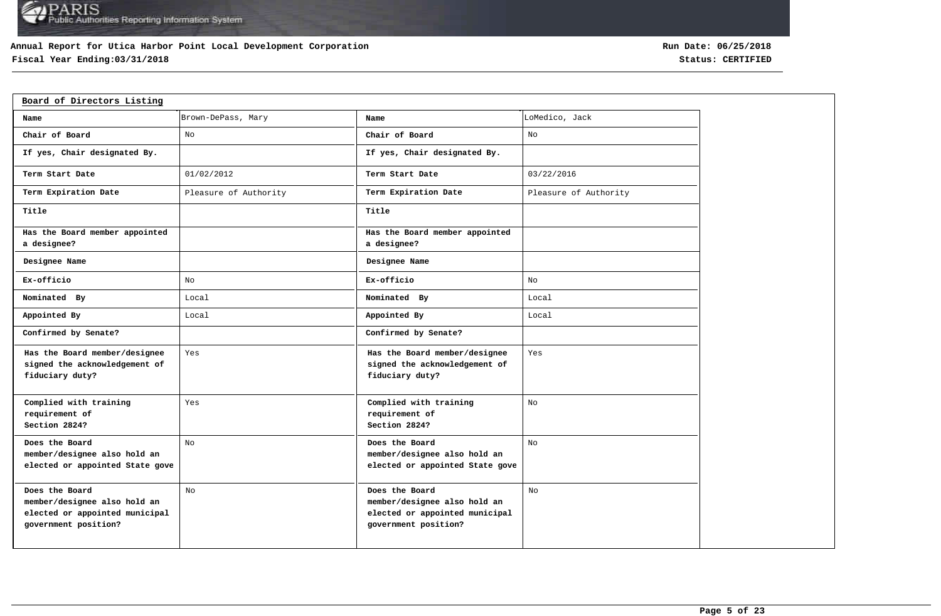### **Annual Report for Utica Harbor Point Local Development Corporation**

# **Fiscal Year Ending:03/31/2018 Status: CERTIFIED**

| Board of Directors Listing                                                                               |                       |                                                                                                          |                       |
|----------------------------------------------------------------------------------------------------------|-----------------------|----------------------------------------------------------------------------------------------------------|-----------------------|
| Name                                                                                                     | Brown-DePass, Mary    | Name                                                                                                     | LoMedico, Jack        |
| Chair of Board                                                                                           | No                    | Chair of Board                                                                                           | No                    |
| If yes, Chair designated By.                                                                             |                       | If yes, Chair designated By.                                                                             |                       |
| Term Start Date                                                                                          | 01/02/2012            | Term Start Date                                                                                          | 03/22/2016            |
| Term Expiration Date                                                                                     | Pleasure of Authority | Term Expiration Date                                                                                     | Pleasure of Authority |
| Title                                                                                                    |                       | Title                                                                                                    |                       |
| Has the Board member appointed<br>a designee?                                                            |                       | Has the Board member appointed<br>a designee?                                                            |                       |
| Designee Name                                                                                            |                       | Designee Name                                                                                            |                       |
| Ex-officio                                                                                               | No                    | Ex-officio                                                                                               | No                    |
| Nominated By                                                                                             | Local                 | Nominated By                                                                                             | Local                 |
| Appointed By                                                                                             | Local                 | Appointed By                                                                                             | Local                 |
| Confirmed by Senate?                                                                                     |                       | Confirmed by Senate?                                                                                     |                       |
| Has the Board member/designee<br>signed the acknowledgement of<br>fiduciary duty?                        | Yes                   | Has the Board member/designee<br>signed the acknowledgement of<br>fiduciary duty?                        | Yes                   |
| Complied with training<br>requirement of<br>Section 2824?                                                | Yes                   | Complied with training<br>requirement of<br>Section 2824?                                                | No                    |
| Does the Board<br>member/designee also hold an<br>elected or appointed State gove                        | No                    | Does the Board<br>member/designee also hold an<br>elected or appointed State gove                        | No                    |
| Does the Board<br>member/designee also hold an<br>elected or appointed municipal<br>government position? | No                    | Does the Board<br>member/designee also hold an<br>elected or appointed municipal<br>government position? | No                    |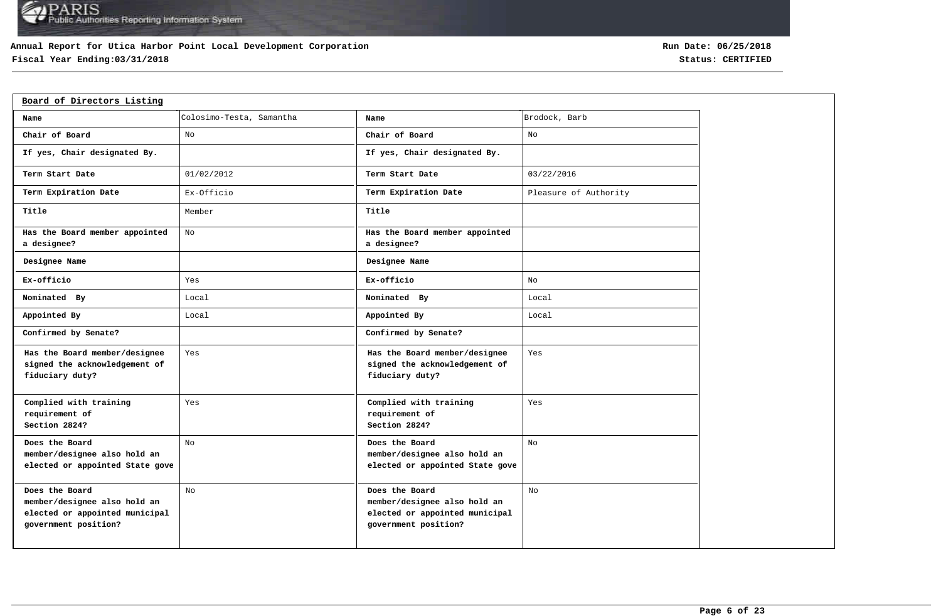### **Annual Report for Utica Harbor Point Local Development Corporation**

# **Fiscal Year Ending:03/31/2018 Status: CERTIFIED**

| Board of Directors Listing                                                                               |                          |                                                                                                          |                       |
|----------------------------------------------------------------------------------------------------------|--------------------------|----------------------------------------------------------------------------------------------------------|-----------------------|
| Name                                                                                                     | Colosimo-Testa, Samantha | Name                                                                                                     | Brodock, Barb         |
| Chair of Board                                                                                           | No                       | Chair of Board                                                                                           | No                    |
| If yes, Chair designated By.                                                                             |                          | If yes, Chair designated By.                                                                             |                       |
| Term Start Date                                                                                          | 01/02/2012               | Term Start Date                                                                                          | 03/22/2016            |
| Term Expiration Date                                                                                     | Ex-Officio               | Term Expiration Date                                                                                     | Pleasure of Authority |
| Title                                                                                                    | Member                   | Title                                                                                                    |                       |
| Has the Board member appointed<br>a designee?                                                            | No                       | Has the Board member appointed<br>a designee?                                                            |                       |
| Designee Name                                                                                            |                          | Designee Name                                                                                            |                       |
| Ex-officio                                                                                               | Yes                      | Ex-officio                                                                                               | No                    |
| Nominated By                                                                                             | Local                    | Nominated By                                                                                             | Local                 |
| Appointed By                                                                                             | Local                    | Appointed By                                                                                             | Local                 |
| Confirmed by Senate?                                                                                     |                          | Confirmed by Senate?                                                                                     |                       |
| Has the Board member/designee<br>signed the acknowledgement of<br>fiduciary duty?                        | Yes                      | Has the Board member/designee<br>signed the acknowledgement of<br>fiduciary duty?                        | Yes                   |
| Complied with training<br>requirement of<br>Section 2824?                                                | Yes                      | Complied with training<br>requirement of<br>Section 2824?                                                | Yes                   |
| Does the Board<br>member/designee also hold an<br>elected or appointed State gove                        | No                       | Does the Board<br>member/designee also hold an<br>elected or appointed State gove                        | No                    |
| Does the Board<br>member/designee also hold an<br>elected or appointed municipal<br>government position? | No                       | Does the Board<br>member/designee also hold an<br>elected or appointed municipal<br>government position? | No                    |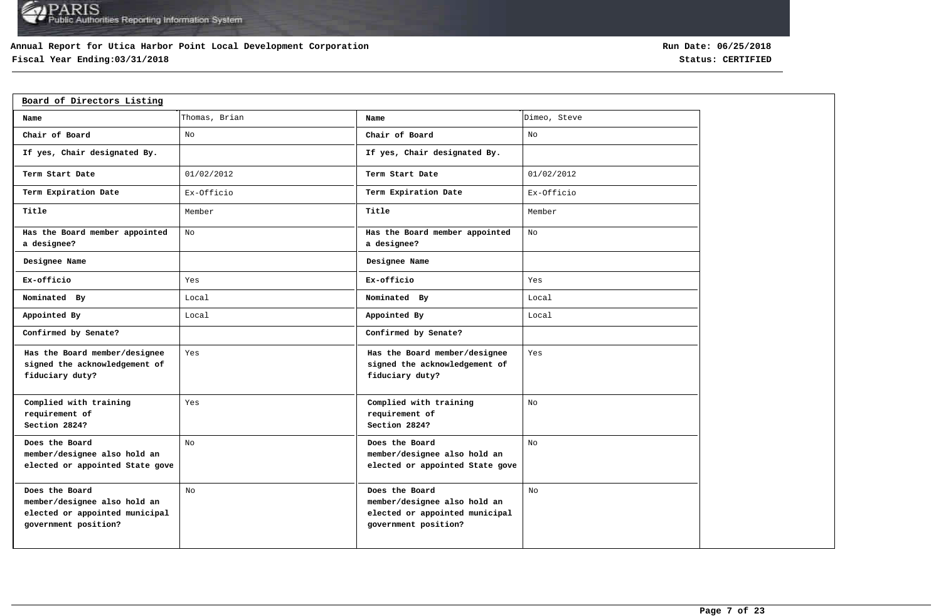### **Annual Report for Utica Harbor Point Local Development Corporation**

# **Fiscal Year Ending:03/31/2018 Status: CERTIFIED**

| Board of Directors Listing                                                                               |               |                                                                                                          |              |
|----------------------------------------------------------------------------------------------------------|---------------|----------------------------------------------------------------------------------------------------------|--------------|
| Name                                                                                                     | Thomas, Brian | Name                                                                                                     | Dimeo, Steve |
| Chair of Board                                                                                           | No            | Chair of Board                                                                                           | No           |
| If yes, Chair designated By.                                                                             |               | If yes, Chair designated By.                                                                             |              |
| Term Start Date                                                                                          | 01/02/2012    | Term Start Date                                                                                          | 01/02/2012   |
| Term Expiration Date                                                                                     | Ex-Officio    | Term Expiration Date                                                                                     | Ex-Officio   |
| Title                                                                                                    | Member        | Title                                                                                                    | Member       |
| Has the Board member appointed<br>a designee?                                                            | No            | Has the Board member appointed<br>a designee?                                                            | No           |
| Designee Name                                                                                            |               | Designee Name                                                                                            |              |
| Ex-officio                                                                                               | Yes           | Ex-officio                                                                                               | Yes          |
| Nominated By                                                                                             | Local         | Nominated By                                                                                             | Local        |
| Appointed By                                                                                             | Local         | Appointed By                                                                                             | Local        |
| Confirmed by Senate?                                                                                     |               | Confirmed by Senate?                                                                                     |              |
| Has the Board member/designee<br>signed the acknowledgement of<br>fiduciary duty?                        | Yes           | Has the Board member/designee<br>signed the acknowledgement of<br>fiduciary duty?                        | Yes          |
| Complied with training<br>requirement of<br>Section 2824?                                                | Yes           | Complied with training<br>requirement of<br>Section 2824?                                                | No           |
| Does the Board<br>member/designee also hold an<br>elected or appointed State gove                        | No            | Does the Board<br>member/designee also hold an<br>elected or appointed State gove                        | No           |
| Does the Board<br>member/designee also hold an<br>elected or appointed municipal<br>government position? | No            | Does the Board<br>member/designee also hold an<br>elected or appointed municipal<br>government position? | No           |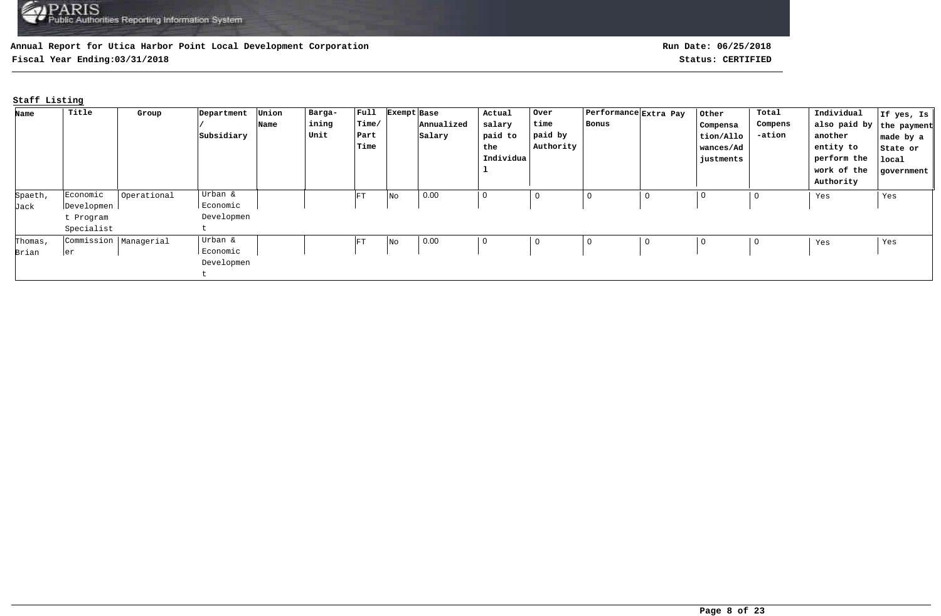**Fiscal Year Ending:03/31/2018 Status: CERTIFIED**

# **Staff Listing**

| Name    | Title                   | Group       | Department | Union | Barga- | $ $ Full   | Exempt Base |            | Actual    | Over        | Performance Extra Pay |   | Other       | Total   | Individual               | If yes, Is |
|---------|-------------------------|-------------|------------|-------|--------|------------|-------------|------------|-----------|-------------|-----------------------|---|-------------|---------|--------------------------|------------|
|         |                         |             |            | Name  | ining  | Time/      |             | Annualized | salary    | time        | Bonus                 |   | Compensa    | Compens | also paid by the payment |            |
|         |                         |             | Subsidiary |       | Unit   | Part       |             | Salary     | paid to   | paid by     |                       |   | tion/Allo   | -ation  | another                  | made by a  |
|         |                         |             |            |       |        | Time       |             |            | the       | Authority   |                       |   | wances/Ad   |         | entity to                | State or   |
|         |                         |             |            |       |        |            |             |            | Individua |             |                       |   | justments   |         | perform the              | local      |
|         |                         |             |            |       |        |            |             |            |           |             |                       |   |             |         | work of the              | government |
|         |                         |             |            |       |        |            |             |            |           |             |                       |   |             |         | Authority                |            |
| Spaeth, | Economic                | Operational | Urban &    |       |        | ${\rm FT}$ | No          | 0.00       | 0         | $\mathbf 0$ | 0                     | 0 | $\mathbf 0$ | 0       | Yes                      | Yes        |
| Jack    | Developmen              |             | Economic   |       |        |            |             |            |           |             |                       |   |             |         |                          |            |
|         | t Program               |             | Developmen |       |        |            |             |            |           |             |                       |   |             |         |                          |            |
|         | Specialist              |             |            |       |        |            |             |            |           |             |                       |   |             |         |                          |            |
| Thomas, | Commission   Managerial |             | Urban &    |       |        | FT         | No          | 0.00       | 0         | 0           | 0                     | 0 | $\mathbf 0$ | 0       | Yes                      | Yes        |
| Brian   | ler                     |             | Economic   |       |        |            |             |            |           |             |                       |   |             |         |                          |            |
|         |                         |             | Developmen |       |        |            |             |            |           |             |                       |   |             |         |                          |            |
|         |                         |             |            |       |        |            |             |            |           |             |                       |   |             |         |                          |            |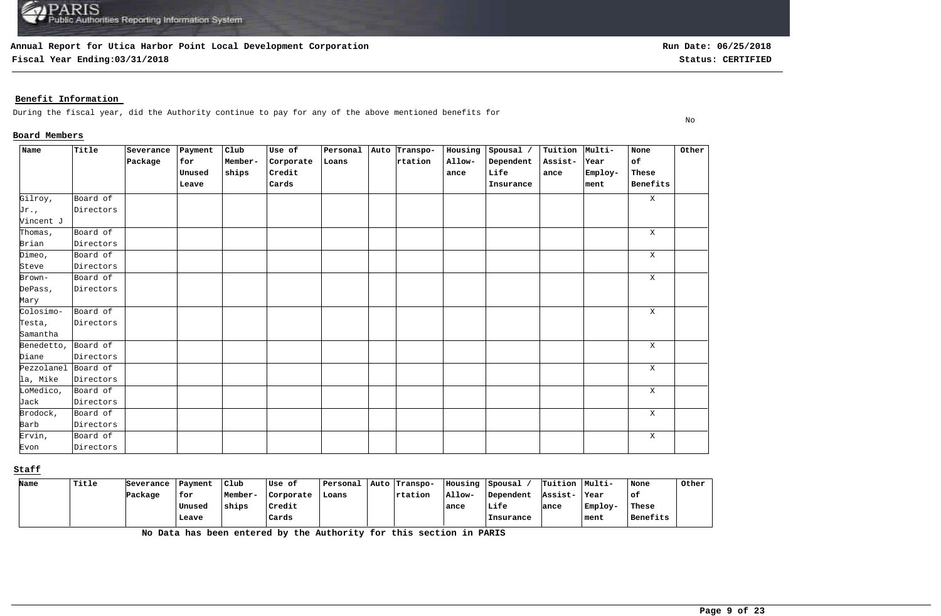**Fiscal Year Ending:03/31/2018 Status: CERTIFIED**

**Run Date: 06/25/2018**

No

### **Benefit Information**

During the fiscal year, did the Authority continue to pay for any of the above mentioned benefits for

#### **Board Members**

| Name                | Title     | Severance | Payment | Club    | Use of    | Personal | Auto Transpo- | Housing | Spousal / | Tuition Multi- |         | None        | Other |
|---------------------|-----------|-----------|---------|---------|-----------|----------|---------------|---------|-----------|----------------|---------|-------------|-------|
|                     |           | Package   | for     | Member- | Corporate | Loans    | rtation       | Allow-  | Dependent | Assist-        | Year    | of          |       |
|                     |           |           | Unused  | ships   | Credit    |          |               | ance    | Life      | ance           | Employ- | These       |       |
|                     |           |           | Leave   |         | Cards     |          |               |         | Insurance |                | ment    | Benefits    |       |
| Gilroy,             | Board of  |           |         |         |           |          |               |         |           |                |         | X           |       |
| Jr.,                | Directors |           |         |         |           |          |               |         |           |                |         |             |       |
| Vincent J           |           |           |         |         |           |          |               |         |           |                |         |             |       |
| Thomas,             | Board of  |           |         |         |           |          |               |         |           |                |         | X           |       |
| Brian               | Directors |           |         |         |           |          |               |         |           |                |         |             |       |
| Dimeo,              | Board of  |           |         |         |           |          |               |         |           |                |         | $\mathbf X$ |       |
| Steve               | Directors |           |         |         |           |          |               |         |           |                |         |             |       |
| Brown-              | Board of  |           |         |         |           |          |               |         |           |                |         | $\mathbf X$ |       |
| DePass,             | Directors |           |         |         |           |          |               |         |           |                |         |             |       |
| Mary                |           |           |         |         |           |          |               |         |           |                |         |             |       |
| Colosimo-           | Board of  |           |         |         |           |          |               |         |           |                |         | X           |       |
| Testa,              | Directors |           |         |         |           |          |               |         |           |                |         |             |       |
| Samantha            |           |           |         |         |           |          |               |         |           |                |         |             |       |
| Benedetto, Board of |           |           |         |         |           |          |               |         |           |                |         | $\mathbf X$ |       |
| Diane               | Directors |           |         |         |           |          |               |         |           |                |         |             |       |
| Pezzolanel Board of |           |           |         |         |           |          |               |         |           |                |         | X           |       |
| la, Mike            | Directors |           |         |         |           |          |               |         |           |                |         |             |       |
| LoMedico,           | Board of  |           |         |         |           |          |               |         |           |                |         | X           |       |
| Jack                | Directors |           |         |         |           |          |               |         |           |                |         |             |       |
| Brodock,            | Board of  |           |         |         |           |          |               |         |           |                |         | X           |       |
| Barb                | Directors |           |         |         |           |          |               |         |           |                |         |             |       |
| Ervin,              | Board of  |           |         |         |           |          |               |         |           |                |         | X           |       |
| Evon                | Directors |           |         |         |           |          |               |         |           |                |         |             |       |

### **Staff**

| Name | Title | Severance | Payment | Club    | Use of    | Personal | Auto   Transpo- | Housing | Spousal   | Tuition Multi- |         | None     | Other |
|------|-------|-----------|---------|---------|-----------|----------|-----------------|---------|-----------|----------------|---------|----------|-------|
|      |       | Package   | for     | Member- | Corporate | Loans    | <b>Trtation</b> | Allow-  | Dependent | Assist-        | Year    | ' of     |       |
|      |       |           | Unused  | ships   | Credit    |          |                 | ance    | Life      | lance          | Employ- | These    |       |
|      |       |           | Leave   |         | Cards     |          |                 |         | Insurance |                | ment    | Benefits |       |

**No Data has been entered by the Authority for this section in PARIS**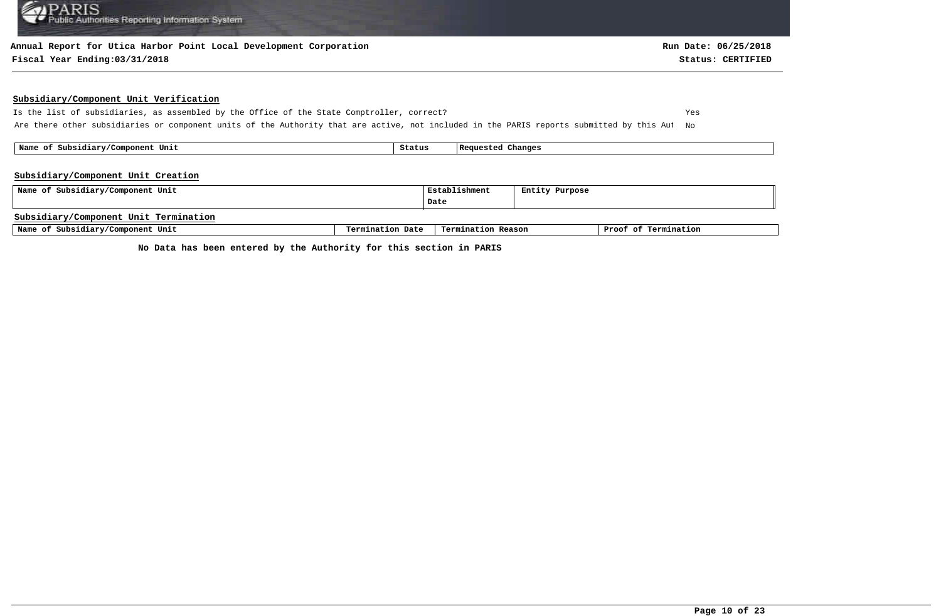#### **Annual Report for Utica Harbor Point Local Development Corporation**

#### **Fiscal Year Ending:03/31/2018 Status: CERTIFIED**

#### **Subsidiary/Component Unit Verification**

Is the list of subsidiaries, as assembled by the Office of the State Comptroller, correct? Yes Are there other subsidiaries or component units of the Authority that are active, not included in the PARIS reports submitted by this Aut No

 **Name of Subsidiary/Component Unit Status Requested Changes** 

#### **Subsidiary/Component Unit Creation**

| Name of Subsidiary/Component Unit     |                  | Establishment      | Entity Purpose |                      |
|---------------------------------------|------------------|--------------------|----------------|----------------------|
|                                       |                  | Date               |                |                      |
| Subsidiary/Component Unit Termination |                  |                    |                |                      |
| Name of Subsidiary/Component Unit     | Termination Date | Termination Reason |                | Proof of Termination |

**No Data has been entered by the Authority for this section in PARIS**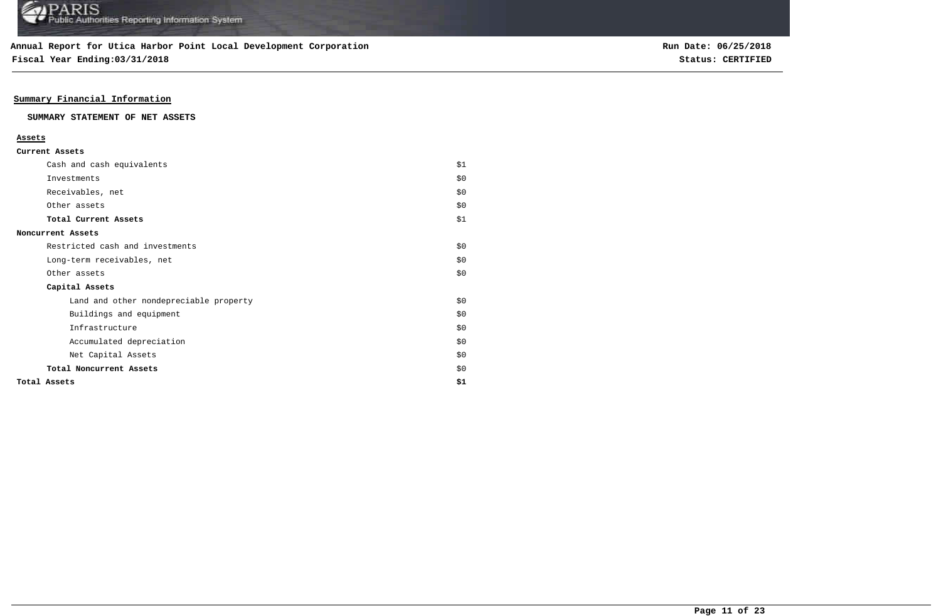**Fiscal Year Ending:03/31/2018 Status: CERTIFIED**

### **Summary Financial Information**

#### **SUMMARY STATEMENT OF NET ASSETS**

#### **Assets**

| Cash and cash equivalents              | \$1   |
|----------------------------------------|-------|
| Investments                            | \$0   |
| Receivables, net                       | \$0   |
| Other assets                           | \$0   |
| Total Current Assets                   | \$1   |
| Noncurrent Assets                      |       |
| Restricted cash and investments        | \$0\$ |
| Long-term receivables, net             | \$0   |
| Other assets                           | \$0   |
| Capital Assets                         |       |
| Land and other nondepreciable property | \$0\$ |
| Buildings and equipment                | \$0   |
| Infrastructure                         | \$0   |
| Accumulated depreciation               | \$0   |
| Net Capital Assets                     | \$0   |
| Total Noncurrent Assets                | \$0   |
| Total Assets                           | \$1   |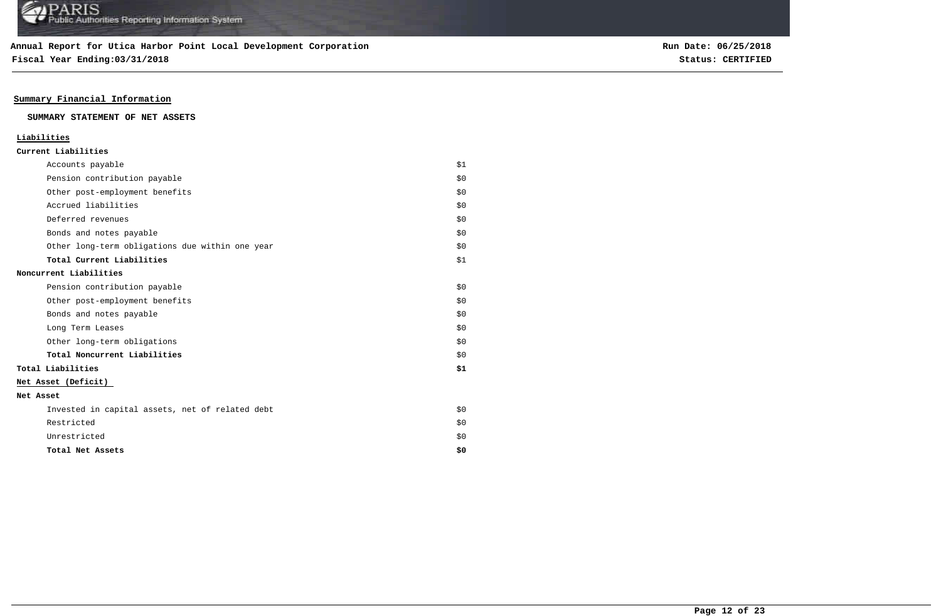**Fiscal Year Ending:03/31/2018 Status: CERTIFIED**

### **Summary Financial Information**

#### **SUMMARY STATEMENT OF NET ASSETS**

### **Liabilities**

| Accounts payable                                | \$1 |
|-------------------------------------------------|-----|
| Pension contribution payable                    | \$0 |
| Other post-employment benefits                  | \$0 |
| Accrued liabilities                             | \$0 |
| Deferred revenues                               | \$0 |
| Bonds and notes payable                         | \$0 |
| Other long-term obligations due within one year | \$0 |
| Total Current Liabilities                       | \$1 |
| Noncurrent Liabilities                          |     |
| Pension contribution payable                    | \$0 |
| Other post-employment benefits                  | \$0 |
| Bonds and notes payable                         | \$0 |
| Long Term Leases                                | \$0 |
| Other long-term obligations                     | \$0 |
| Total Noncurrent Liabilities                    | \$0 |
| Total Liabilities                               | \$1 |
| Net Asset (Deficit)                             |     |
| Net Asset                                       |     |
| Invested in capital assets, net of related debt | \$0 |
| Restricted                                      | \$0 |
| Unrestricted                                    | \$0 |
| Total Net Assets                                | \$0 |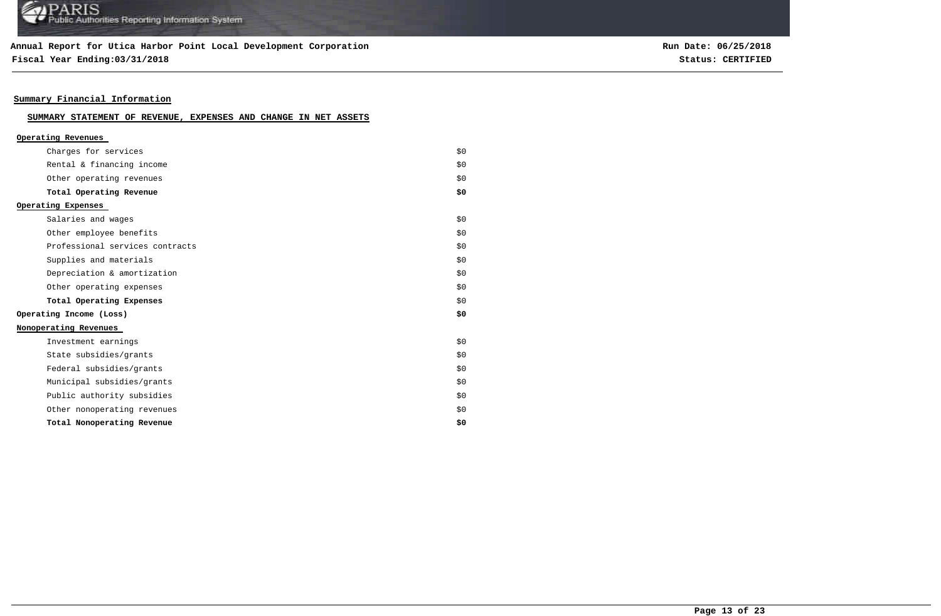### **Annual Report for Utica Harbor Point Local Development Corporation**

**Fiscal Year Ending:03/31/2018 Status: CERTIFIED**

**Run Date: 06/25/2018**

### **Summary Financial Information**

### **SUMMARY STATEMENT OF REVENUE, EXPENSES AND CHANGE IN NET ASSETS**

| Operating Revenues              |     |
|---------------------------------|-----|
| Charges for services            | \$0 |
| Rental & financing income       | \$0 |
| Other operating revenues        | \$0 |
| Total Operating Revenue         | \$0 |
| Operating Expenses              |     |
| Salaries and wages              | \$0 |
| Other employee benefits         | \$0 |
| Professional services contracts | \$0 |
| Supplies and materials          | \$0 |
| Depreciation & amortization     | \$0 |
| Other operating expenses        | \$0 |
| Total Operating Expenses        | \$0 |
| Operating Income (Loss)         | \$0 |
| Nonoperating Revenues           |     |
| Investment earnings             | \$0 |
| State subsidies/grants          | \$0 |
| Federal subsidies/grants        | \$0 |
| Municipal subsidies/grants      | \$0 |
| Public authority subsidies      | \$0 |
| Other nonoperating revenues     | \$0 |
| Total Nonoperating Revenue      | \$0 |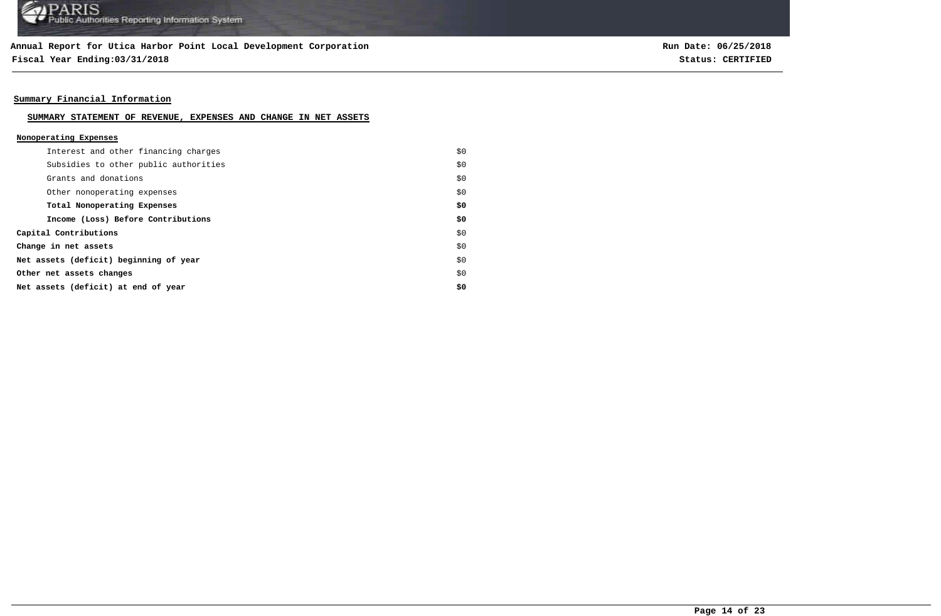**Fiscal Year Ending:03/31/2018 Status: CERTIFIED**

**Run Date: 06/25/2018**

### **Summary Financial Information**

#### **SUMMARY STATEMENT OF REVENUE, EXPENSES AND CHANGE IN NET ASSETS**

#### **Nonoperating Expenses**

| Interest and other financing charges   | \$0 |
|----------------------------------------|-----|
| Subsidies to other public authorities  | \$0 |
| Grants and donations                   | \$0 |
| Other nonoperating expenses            | \$0 |
| Total Nonoperating Expenses            | \$0 |
| Income (Loss) Before Contributions     | \$0 |
| Capital Contributions                  | \$0 |
| Change in net assets                   | \$0 |
| Net assets (deficit) beginning of year | \$0 |
| Other net assets changes               | \$0 |
| Net assets (deficit) at end of year    | \$0 |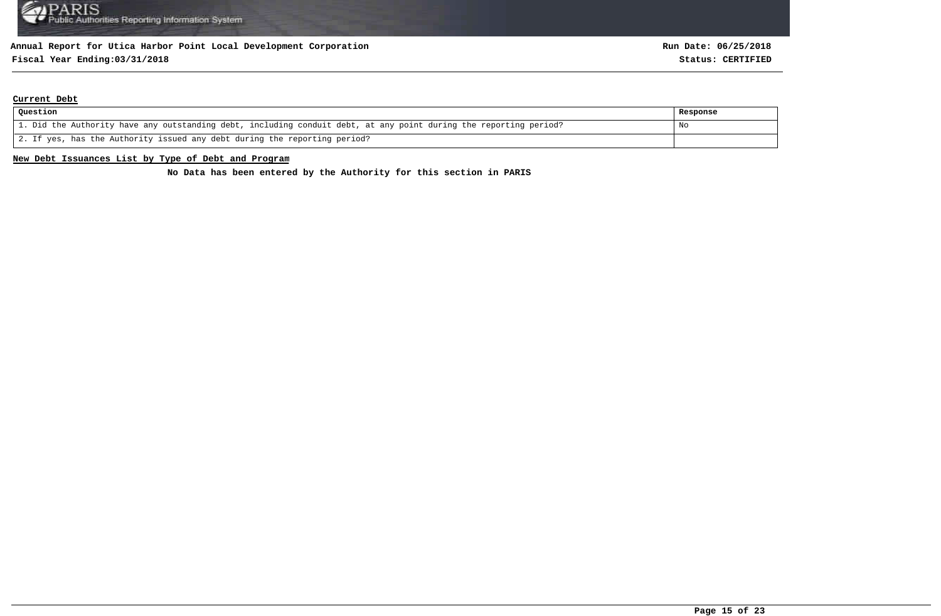# **Fiscal Year Ending:03/31/2018 Status: CERTIFIED**

#### **Current Debt**

| Question                                                                                                          | Response |
|-------------------------------------------------------------------------------------------------------------------|----------|
| 1. Did the Authority have any outstanding debt, including conduit debt, at any point during the reporting period? | No       |
| 2. If yes, has the Authority issued any debt during the reporting period?                                         |          |

#### **New Debt Issuances List by Type of Debt and Program**

**No Data has been entered by the Authority for this section in PARIS**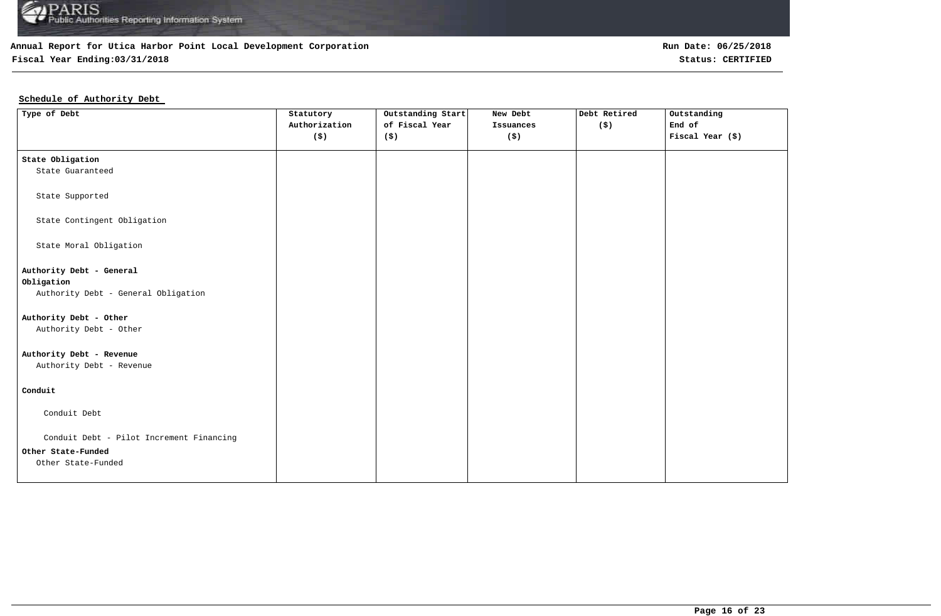

## **Fiscal Year Ending:03/31/2018 Status: CERTIFIED**

### **Schedule of Authority Debt**

| Type of Debt                                                   | Statutory<br>Authorization | Outstanding Start<br>of Fiscal Year | New Debt<br>Issuances | Debt Retired<br>$($ \$) | Outstanding<br>End of |
|----------------------------------------------------------------|----------------------------|-------------------------------------|-----------------------|-------------------------|-----------------------|
|                                                                | (5)                        | (\$)                                | $($ \$)               |                         | Fiscal Year (\$)      |
| State Obligation                                               |                            |                                     |                       |                         |                       |
| State Guaranteed                                               |                            |                                     |                       |                         |                       |
| State Supported                                                |                            |                                     |                       |                         |                       |
| State Contingent Obligation                                    |                            |                                     |                       |                         |                       |
| State Moral Obligation                                         |                            |                                     |                       |                         |                       |
| Authority Debt - General                                       |                            |                                     |                       |                         |                       |
| Obligation                                                     |                            |                                     |                       |                         |                       |
| Authority Debt - General Obligation                            |                            |                                     |                       |                         |                       |
| Authority Debt - Other                                         |                            |                                     |                       |                         |                       |
| Authority Debt - Other                                         |                            |                                     |                       |                         |                       |
| Authority Debt - Revenue                                       |                            |                                     |                       |                         |                       |
| Authority Debt - Revenue                                       |                            |                                     |                       |                         |                       |
| Conduit                                                        |                            |                                     |                       |                         |                       |
| Conduit Debt                                                   |                            |                                     |                       |                         |                       |
|                                                                |                            |                                     |                       |                         |                       |
| Conduit Debt - Pilot Increment Financing<br>Other State-Funded |                            |                                     |                       |                         |                       |
| Other State-Funded                                             |                            |                                     |                       |                         |                       |
|                                                                |                            |                                     |                       |                         |                       |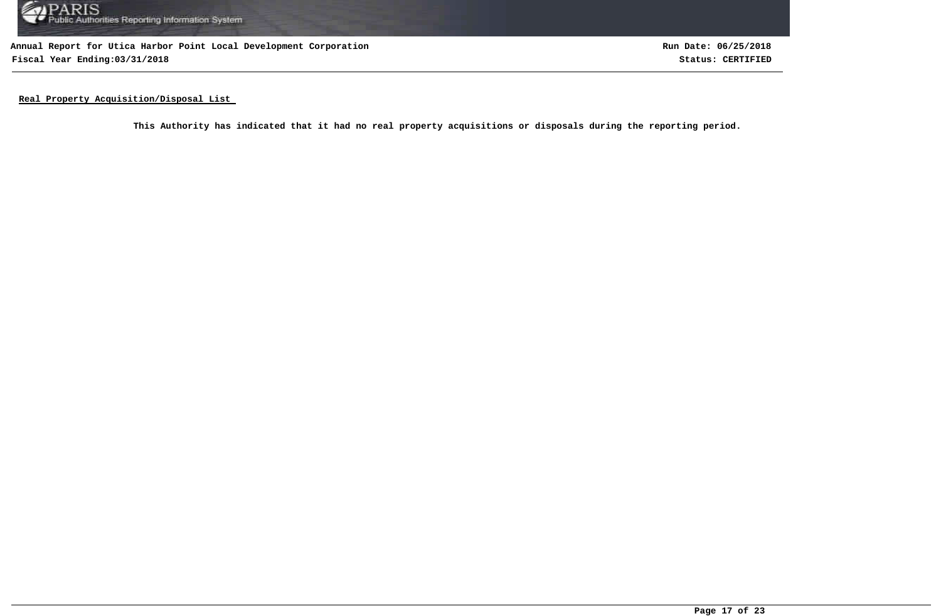

**Annual Report for Utica Harbor Point Local Development Corporation Fiscal Year Ending:03/31/2018 Status: CERTIFIED**

**Run Date: 06/25/2018**

**Real Property Acquisition/Disposal List** 

**This Authority has indicated that it had no real property acquisitions or disposals during the reporting period.**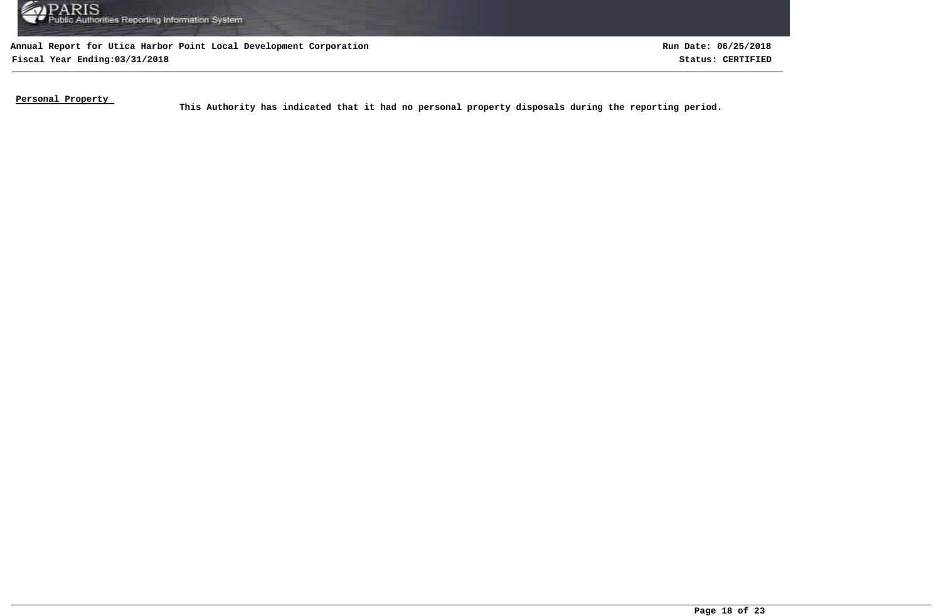

**Annual Report for Utica Harbor Point Local Development Corporation Fiscal Year Ending:03/31/2018 Status: CERTIFIED**

**Run Date: 06/25/2018**

**Personal Property** 

This Authority has indicated that it had no personal property disposals during the reporting period.<br>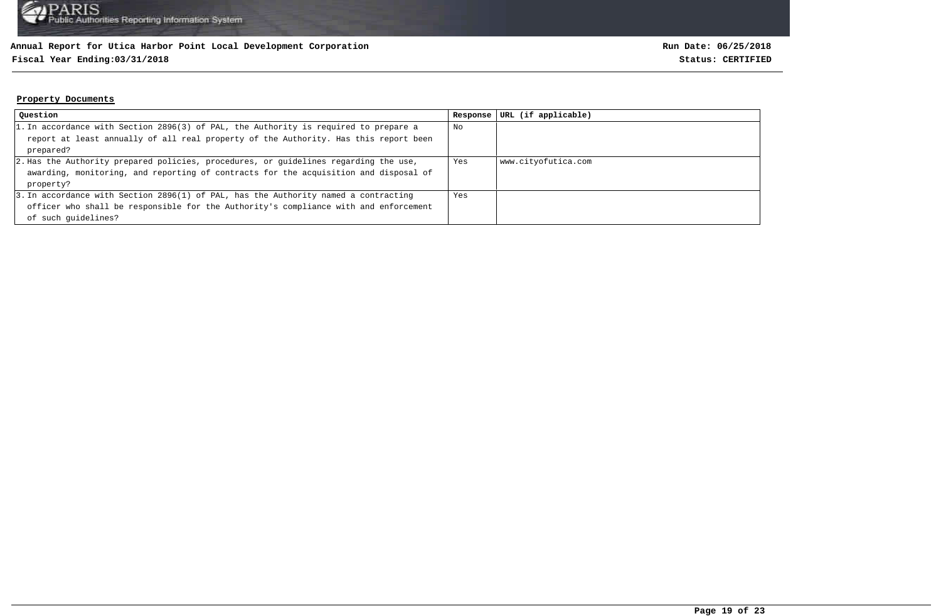### **Fiscal Year Ending:03/31/2018 Status: CERTIFIED**

#### **Property Documents**

| Question                                                                             | Response | URL (if applicable) |
|--------------------------------------------------------------------------------------|----------|---------------------|
| 1. In accordance with Section 2896(3) of PAL, the Authority is required to prepare a | No       |                     |
| report at least annually of all real property of the Authority. Has this report been |          |                     |
| prepared?                                                                            |          |                     |
| 2. Has the Authority prepared policies, procedures, or quidelines regarding the use, | Yes      | www.cityofutica.com |
| awarding, monitoring, and reporting of contracts for the acquisition and disposal of |          |                     |
| property?                                                                            |          |                     |
| 3. In accordance with Section 2896(1) of PAL, has the Authority named a contracting  | Yes      |                     |
| officer who shall be responsible for the Authority's compliance with and enforcement |          |                     |
| of such quidelines?                                                                  |          |                     |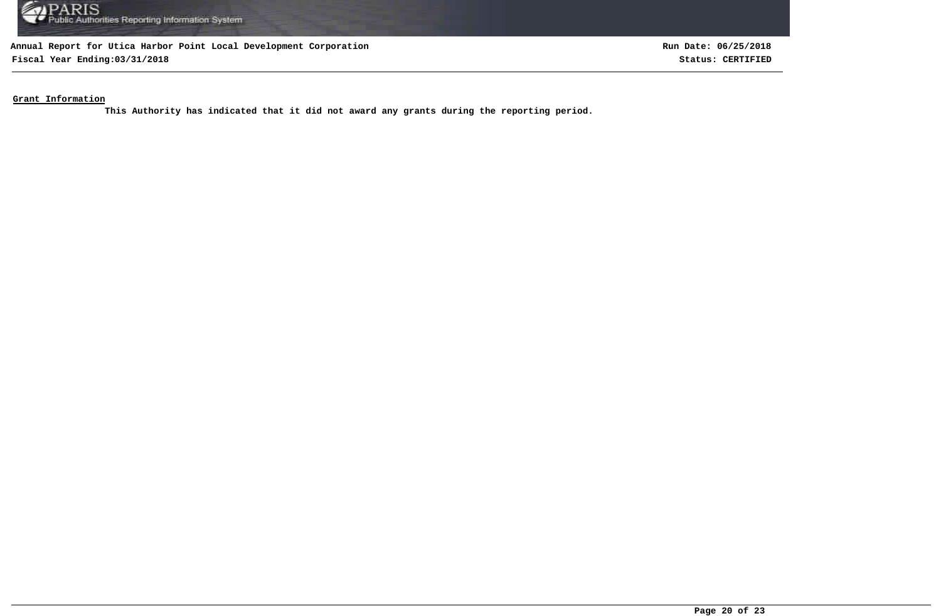

**Fiscal Year Ending:03/31/2018 Status: CERTIFIED**

**Run Date: 06/25/2018**

**Grant Information**

**This Authority has indicated that it did not award any grants during the reporting period.**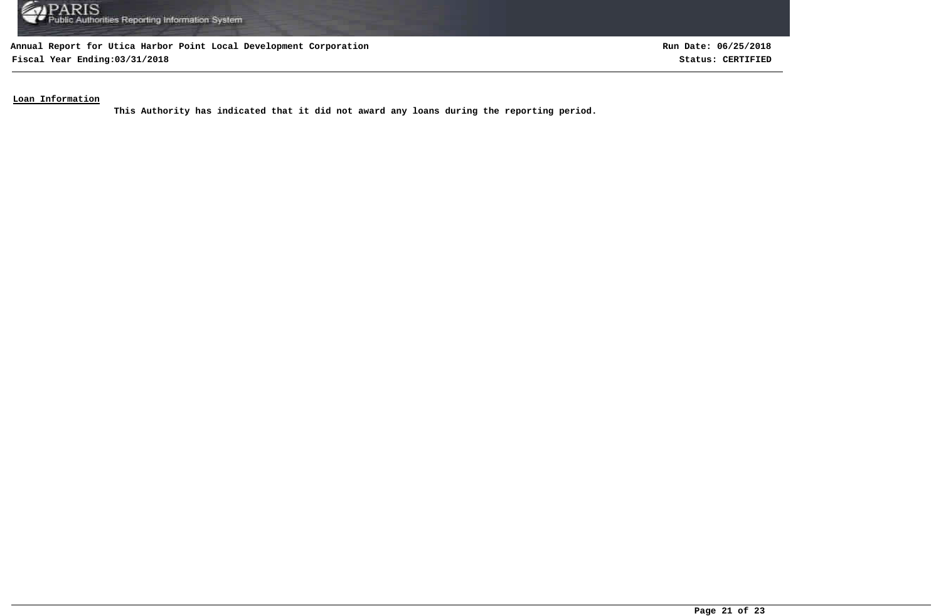

**Fiscal Year Ending:03/31/2018 Status: CERTIFIED**

**Run Date: 06/25/2018**

**Loan Information**

**This Authority has indicated that it did not award any loans during the reporting period.**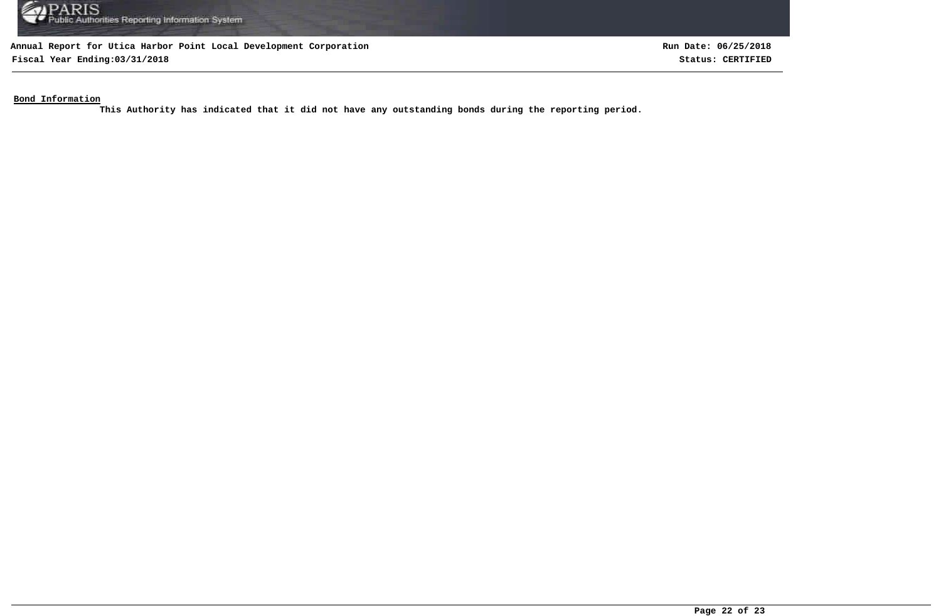

**Fiscal Year Ending:03/31/2018 Status: CERTIFIED**

**Run Date: 06/25/2018**

**Bond Information**

**This Authority has indicated that it did not have any outstanding bonds during the reporting period.**